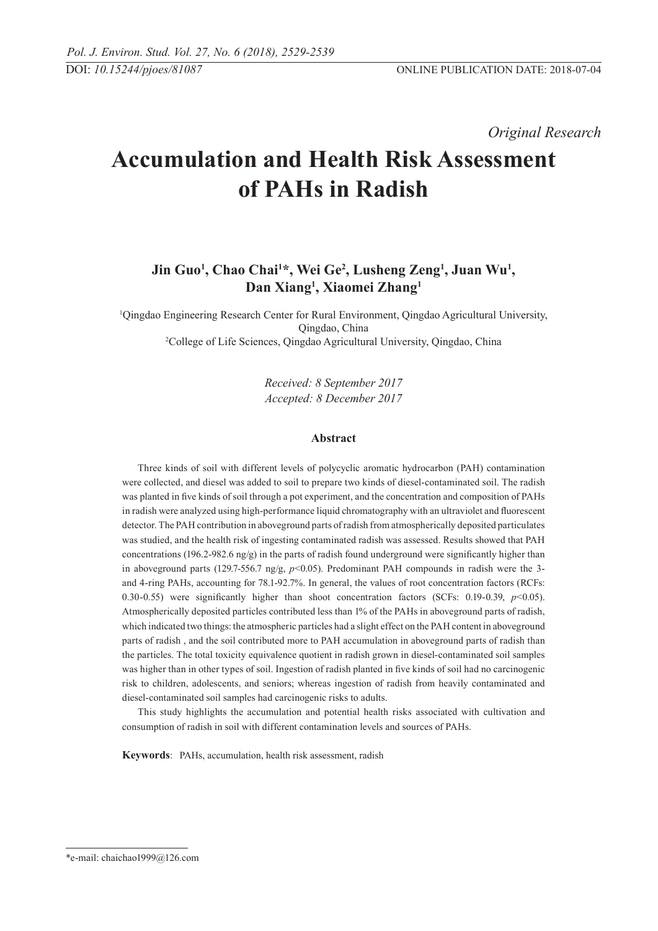*Original Research* 

# **Accumulation and Health Risk Assessment of PAHs in Radish**

# **Jin Guo1 , Chao Chai1 \*, Wei Ge2 , Lusheng Zeng1 , Juan Wu1 , Dan Xiang1 , Xiaomei Zhang1**

1 Qingdao Engineering Research Center for Rural Environment, Qingdao Agricultural University, Qingdao, China 2 College of Life Sciences, Qingdao Agricultural University, Qingdao, China

> *Received: 8 September 2017 Accepted: 8 December 2017*

# **Abstract**

Three kinds of soil with different levels of polycyclic aromatic hydrocarbon (PAH) contamination were collected, and diesel was added to soil to prepare two kinds of diesel-contaminated soil. The radish was planted in five kinds of soil through a pot experiment, and the concentration and composition of PAHs in radish were analyzed using high-performance liquid chromatography with an ultraviolet and fluorescent detector. The PAH contribution in aboveground parts of radish from atmospherically deposited particulates was studied, and the health risk of ingesting contaminated radish was assessed. Results showed that PAH concentrations (196.2-982.6  $ng/g$ ) in the parts of radish found underground were significantly higher than in aboveground parts (129.7-556.7 ng/g,  $p$ <0.05). Predominant PAH compounds in radish were the 3and 4-ring PAHs, accounting for 78.1-92.7%. In general, the values of root concentration factors (RCFs: 0.30-0.55) were significantly higher than shoot concentration factors (SCFs: 0.19-0.39, *p*<0.05). Atmospherically deposited particles contributed less than 1% of the PAHs in aboveground parts of radish, which indicated two things: the atmospheric particles had a slight effect on the PAH content in aboveground parts of radish , and the soil contributed more to PAH accumulation in aboveground parts of radish than the particles. The total toxicity equivalence quotient in radish grown in diesel-contaminated soil samples was higher than in other types of soil. Ingestion of radish planted in five kinds of soil had no carcinogenic risk to children, adolescents, and seniors; whereas ingestion of radish from heavily contaminated and diesel-contaminated soil samples had carcinogenic risks to adults.

This study highlights the accumulation and potential health risks associated with cultivation and consumption of radish in soil with different contamination levels and sources of PAHs.

**Keywords**: PAHs, accumulation, health risk assessment, radish

<sup>\*</sup>e-mail: chaichao1999@126.com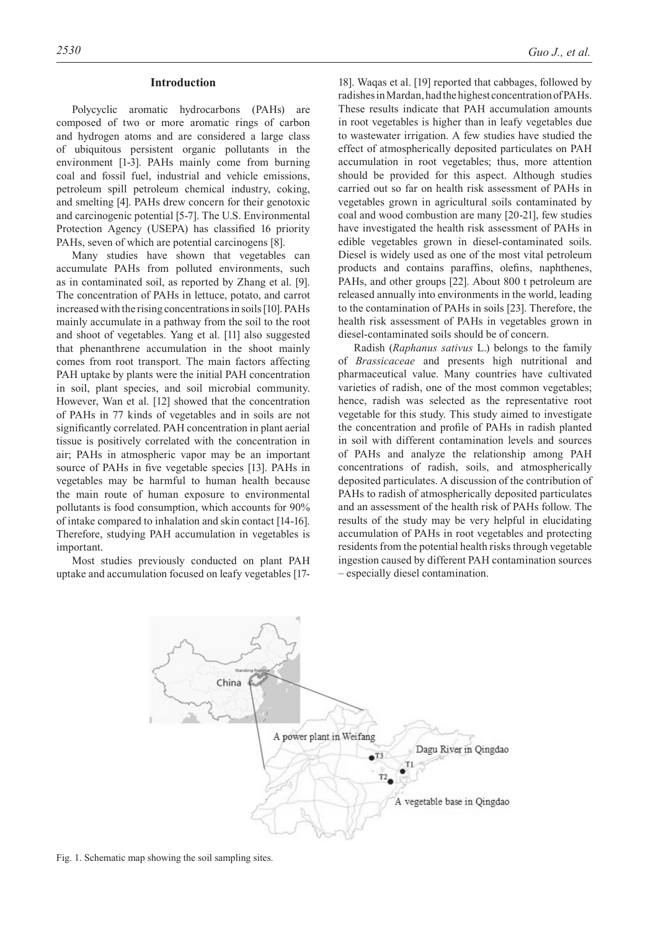#### **Introduction**

Polycyclic aromatic hydrocarbons (PAHs) are composed of two or more aromatic rings of carbon and hydrogen atoms and are considered a large class of ubiquitous persistent organic pollutants in the environment [1-3]. PAHs mainly come from burning coal and fossil fuel, industrial and vehicle emissions, petroleum spill petroleum chemical industry, coking, and smelting [4]. PAHs drew concern for their genotoxic and carcinogenic potential [5-7]. The U.S. Environmental Protection Agency (USEPA) has classified 16 priority PAHs, seven of which are potential carcinogens [8].

Many studies have shown that vegetables can accumulate PAHs from polluted environments, such as in contaminated soil, as reported by Zhang et al. [9]. The concentration of PAHs in lettuce, potato, and carrot increased with the rising concentrations in soils [10]. PAHs mainly accumulate in a pathway from the soil to the root and shoot of vegetables. Yang et al. [11] also suggested that phenanthrene accumulation in the shoot mainly comes from root transport. The main factors affecting PAH uptake by plants were the initial PAH concentration in soil, plant species, and soil microbial community. However, Wan et al. [12] showed that the concentration of PAHs in 77 kinds of vegetables and in soils are not significantly correlated. PAH concentration in plant aerial tissue is positively correlated with the concentration in air; PAHs in atmospheric vapor may be an important source of PAHs in five vegetable species [13]. PAHs in vegetables may be harmful to human health because the main route of human exposure to environmental pollutants is food consumption, which accounts for 90% of intake compared to inhalation and skin contact [14-16]. Therefore, studying PAH accumulation in vegetables is important.

Most studies previously conducted on plant PAH uptake and accumulation focused on leafy vegetables [17-

18]. Waqas et al. [19] reported that cabbages, followed by radishes in Mardan, had the highest concentration of PAHs. These results indicate that PAH accumulation amounts in root vegetables is higher than in leafy vegetables due to wastewater irrigation. A few studies have studied the effect of atmospherically deposited particulates on PAH accumulation in root vegetables; thus, more attention should be provided for this aspect. Although studies carried out so far on health risk assessment of PAHs in vegetables grown in agricultural soils contaminated by coal and wood combustion are many [20-21], few studies have investigated the health risk assessment of PAHs in edible vegetables grown in diesel-contaminated soils. Diesel is widely used as one of the most vital petroleum products and contains paraffins, olefins, naphthenes, PAHs, and other groups [22]. About 800 t petroleum are released annually into environments in the world, leading to the contamination of PAHs in soils [23]. Therefore, the health risk assessment of PAHs in vegetables grown in diesel-contaminated soils should be of concern.

Radish (*Raphanus sativus* L.) belongs to the family of *Brassicaceae* and presents high nutritional and pharmaceutical value. Many countries have cultivated varieties of radish, one of the most common vegetables; hence, radish was selected as the representative root vegetable for this study. This study aimed to investigate the concentration and profile of PAHs in radish planted in soil with different contamination levels and sources of PAHs and analyze the relationship among PAH concentrations of radish, soils, and atmospherically deposited particulates. A discussion of the contribution of PAHs to radish of atmospherically deposited particulates and an assessment of the health risk of PAHs follow. The results of the study may be very helpful in elucidating accumulation of PAHs in root vegetables and protecting residents from the potential health risks through vegetable ingestion caused by different PAH contamination sources – especially diesel contamination.



Fig. 1. Schematic map showing the soil sampling sites.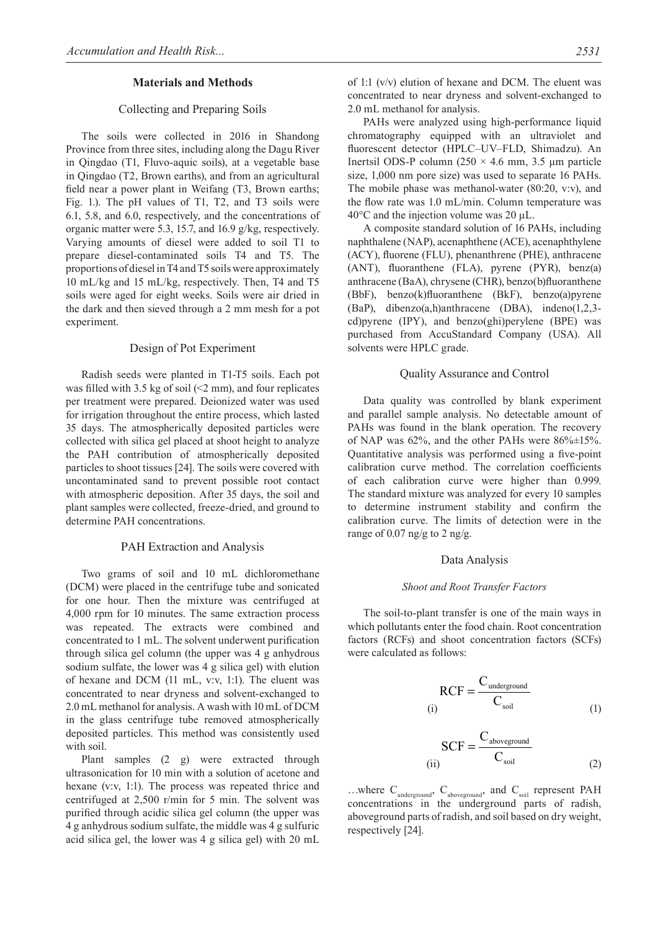#### **Materials and Methods**

# Collecting and Preparing Soils

The soils were collected in 2016 in Shandong Province from three sites, including along the Dagu River in Qingdao (T1, Fluvo-aquic soils), at a vegetable base in Qingdao (T2, Brown earths), and from an agricultural field near a power plant in Weifang (T3, Brown earths; Fig. 1.). The pH values of T1, T2, and T3 soils were 6.1, 5.8, and 6.0, respectively, and the concentrations of organic matter were 5.3, 15.7, and 16.9 g/kg, respectively. Varying amounts of diesel were added to soil T1 to prepare diesel-contaminated soils T4 and T5. The proportions of diesel in T4 and T5 soils were approximately 10 mL/kg and 15 mL/kg, respectively. Then, T4 and T5 soils were aged for eight weeks. Soils were air dried in the dark and then sieved through a 2 mm mesh for a pot experiment.

#### Design of Pot Experiment

Radish seeds were planted in T1-T5 soils. Each pot was filled with 3.5 kg of soil  $(2 \text{ mm})$ , and four replicates per treatment were prepared. Deionized water was used for irrigation throughout the entire process, which lasted 35 days. The atmospherically deposited particles were collected with silica gel placed at shoot height to analyze the PAH contribution of atmospherically deposited particles to shoot tissues [24]. The soils were covered with uncontaminated sand to prevent possible root contact with atmospheric deposition. After 35 days, the soil and plant samples were collected, freeze-dried, and ground to determine PAH concentrations.

#### PAH Extraction and Analysis

Two grams of soil and 10 mL dichloromethane (DCM) were placed in the centrifuge tube and sonicated for one hour. Then the mixture was centrifuged at 4,000 rpm for 10 minutes. The same extraction process was repeated. The extracts were combined and concentrated to 1 mL. The solvent underwent purification through silica gel column (the upper was 4 g anhydrous sodium sulfate, the lower was 4 g silica gel) with elution of hexane and DCM (11 mL, v:v, 1:1). The eluent was concentrated to near dryness and solvent-exchanged to 2.0 mL methanol for analysis. A wash with 10 mL of DCM in the glass centrifuge tube removed atmospherically deposited particles. This method was consistently used with soil.

Plant samples (2 g) were extracted through ultrasonication for 10 min with a solution of acetone and hexane (v:v, 1:1). The process was repeated thrice and centrifuged at 2,500 r/min for 5 min. The solvent was purified through acidic silica gel column (the upper was 4 g anhydrous sodium sulfate, the middle was 4 g sulfuric acid silica gel, the lower was 4 g silica gel) with 20 mL

of 1:1 (v/v) elution of hexane and DCM. The eluent was concentrated to near dryness and solvent-exchanged to 2.0 mL methanol for analysis.

PAHs were analyzed using high-performance liquid chromatography equipped with an ultraviolet and fluorescent detector (HPLC–UV–FLD, Shimadzu). An Inertsil ODS-P column (250 × 4.6 mm, 3.5 μm particle size, 1,000 nm pore size) was used to separate 16 PAHs. The mobile phase was methanol-water (80:20, v:v), and the flow rate was 1.0 mL/min. Column temperature was  $40^{\circ}$ C and the injection volume was 20  $\mu$ L.

A composite standard solution of 16 PAHs, including naphthalene (NAP), acenaphthene (ACE), acenaphthylene (ACY), fluorene (FLU), phenanthrene (PHE), anthracene (ANT), fluoranthene (FLA), pyrene (PYR), benz(a) anthracene (BaA), chrysene (CHR), benzo(b)fluoranthene (BbF), benzo(k)fluoranthene (BkF), benzo(a)pyrene (BaP), dibenzo(a,h)anthracene (DBA), indeno(1,2,3 cd)pyrene (IPY), and benzo(ghi)perylene (BPE) was purchased from AccuStandard Company (USA). All solvents were HPLC grade.

#### Quality Assurance and Control

Data quality was controlled by blank experiment and parallel sample analysis. No detectable amount of PAHs was found in the blank operation. The recovery of NAP was  $62\%$ , and the other PAHs were  $86\% \pm 15\%$ . Quantitative analysis was performed using a five-point calibration curve method. The correlation coefficients of each calibration curve were higher than 0.999. The standard mixture was analyzed for every 10 samples to determine instrument stability and confirm the calibration curve. The limits of detection were in the range of  $0.07$  ng/g to  $2$  ng/g.

#### Data Analysis

#### *Shoot and Root Transfer Factors*

The soil-to-plant transfer is one of the main ways in which pollutants enter the food chain. Root concentration factors (RCFs) and shoot concentration factors (SCFs) were calculated as follows:

$$
RCF = \frac{C_{underground}}{C_{soil}}
$$
 (1)

$$
SCF = \frac{C_{\text{aboveground}}}{C_{\text{soil}}}
$$
 (2)

...where  $C_{\text{underground}}$ ,  $C_{\text{aboveground}}$ , and  $C_{\text{soil}}$  represent PAH concentrations in the underground parts of radish, aboveground parts of radish, and soil based on dry weight, respectively [24].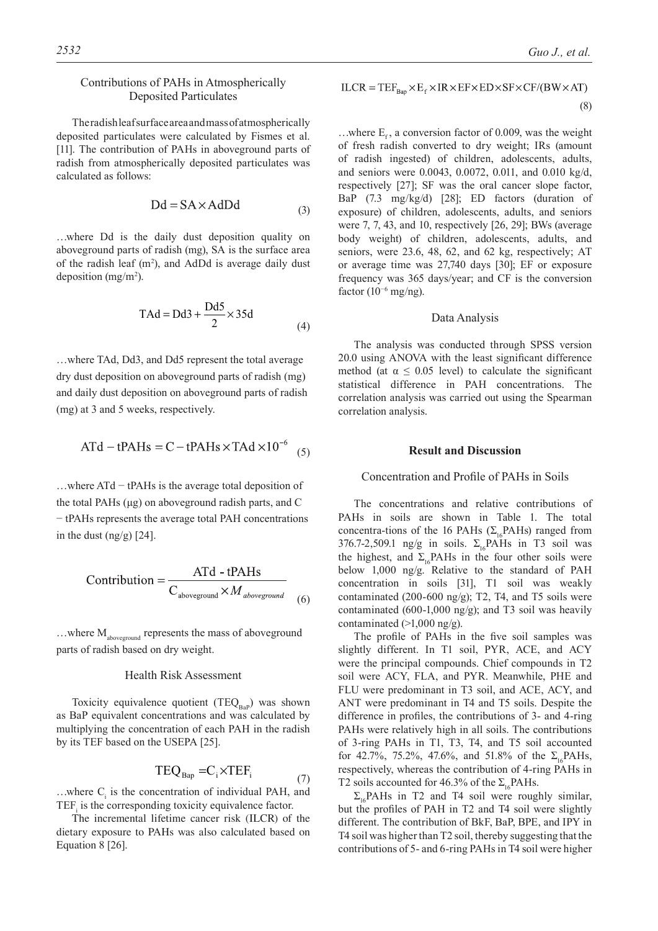# Contributions of PAHs in Atmospherically Deposited Particulates

The radish leaf surface area and mass of atmospherically deposited particulates were calculated by Fismes et al. [11]. The contribution of PAHs in aboveground parts of radish from atmospherically deposited particulates was calculated as follows:

$$
Dd = SA \times AdDd \tag{3}
$$

…where Dd is the daily dust deposition quality on aboveground parts of radish (mg), SA is the surface area of the radish leaf  $(m^2)$ , and AdDd is average daily dust deposition  $(mg/m<sup>2</sup>)$ .

$$
TAd = Dd3 + \frac{Dd5}{2} \times 35d \tag{4}
$$

…where TAd, Dd3, and Dd5 represent the total average dry dust deposition on aboveground parts of radish (mg) and daily dust deposition on aboveground parts of radish (mg) at 3 and 5 weeks, respectively.

$$
ATd - tPAHs = C - tPAHs \times TAd \times 10^{-6}
$$
 (5)

…where ATd − tPAHs is the average total deposition of the total PAHs (μg) on aboveground radish parts, and C − tPAHs represents the average total PAH concentrations in the dust  $(ng/g)$  [24].

$$
Contribution = \frac{ATd - tPAHs}{C_{\text{aboveground}} \times M_{\text{aboveground}}}
$$
\n(6)

...where M<sub>aboveground</sub> represents the mass of aboveground parts of radish based on dry weight.

#### Health Risk Assessment

Toxicity equivalence quotient  $(TEQ_{Bap})$  was shown as BaP equivalent concentrations and was calculated by multiplying the concentration of each PAH in the radish by its TEF based on the USEPA [25].

$$
TEQ_{Bap} = C_i \times TEF_i \tag{7}
$$

...where  $C_i$  is the concentration of individual PAH, and  $TEF_i$  is the corresponding toxicity equivalence factor.

The incremental lifetime cancer risk (ILCR) of the dietary exposure to PAHs was also calculated based on Equation 8 [26].

$$
ILCR = TEFRen \times Ef \times IR \times EF \times ED \times SF \times CF/(BW \times AT)
$$

$$
(8)
$$

...where  $E<sub>c</sub>$ , a conversion factor of 0.009, was the weight of fresh radish converted to dry weight; IRs (amount of radish ingested) of children, adolescents, adults, and seniors were 0.0043, 0.0072, 0.011, and 0.010 kg/d, respectively [27]; SF was the oral cancer slope factor, BaP (7.3 mg/kg/d) [28]; ED factors (duration of exposure) of children, adolescents, adults, and seniors were 7, 7, 43, and 10, respectively [26, 29]; BWs (average body weight) of children, adolescents, adults, and seniors, were 23.6, 48, 62, and 62 kg, respectively; AT or average time was 27,740 days [30]; EF or exposure frequency was 365 days/year; and CF is the conversion factor  $(10^{-6}$  mg/ng).

#### Data Analysis

The analysis was conducted through SPSS version 20.0 using ANOVA with the least significant difference method (at  $\alpha \leq 0.05$  level) to calculate the significant statistical difference in PAH concentrations. The correlation analysis was carried out using the Spearman correlation analysis.

#### **Result and Discussion**

# Concentration and Profile of PAHs in Soils

The concentrations and relative contributions of PAHs in soils are shown in Table 1. The total concentra-tions of the 16 PAHs ( $\Sigma$ <sub>16</sub>PAHs) ranged from 376.7-2,509.1 ng/g in soils.  $\Sigma_{16}$ PAHs in T3 soil was the highest, and  $\Sigma_{16}$ PAHs in the four other soils were below 1,000 ng/g. Relative to the standard of PAH concentration in soils [31], T1 soil was weakly contaminated (200-600 ng/g); T2, T4, and T5 soils were contaminated (600-1,000 ng/g); and T3 soil was heavily contaminated (>1,000 ng/g).

The profile of PAHs in the five soil samples was slightly different. In T1 soil, PYR, ACE, and ACY were the principal compounds. Chief compounds in T2 soil were ACY, FLA, and PYR. Meanwhile, PHE and FLU were predominant in T3 soil, and ACE, ACY, and ANT were predominant in T4 and T5 soils. Despite the difference in profiles, the contributions of 3- and 4-ring PAHs were relatively high in all soils. The contributions of 3-ring PAHs in T1, T3, T4, and T5 soil accounted for 42.7%, 75.2%, 47.6%, and 51.8% of the  $\Sigma_1$ . PAHs, respectively, whereas the contribution of 4-ring PAHs in T2 soils accounted for 46.3% of the  $\Sigma_{16}$ PAHs.

 $\Sigma_{16}$ PAHs in T2 and T4 soil were roughly similar, but the profiles of PAH in T2 and T4 soil were slightly different. The contribution of BkF, BaP, BPE, and IPY in T4 soil was higher than T2 soil, thereby suggesting that the contributions of 5- and 6-ring PAHs in T4 soil were higher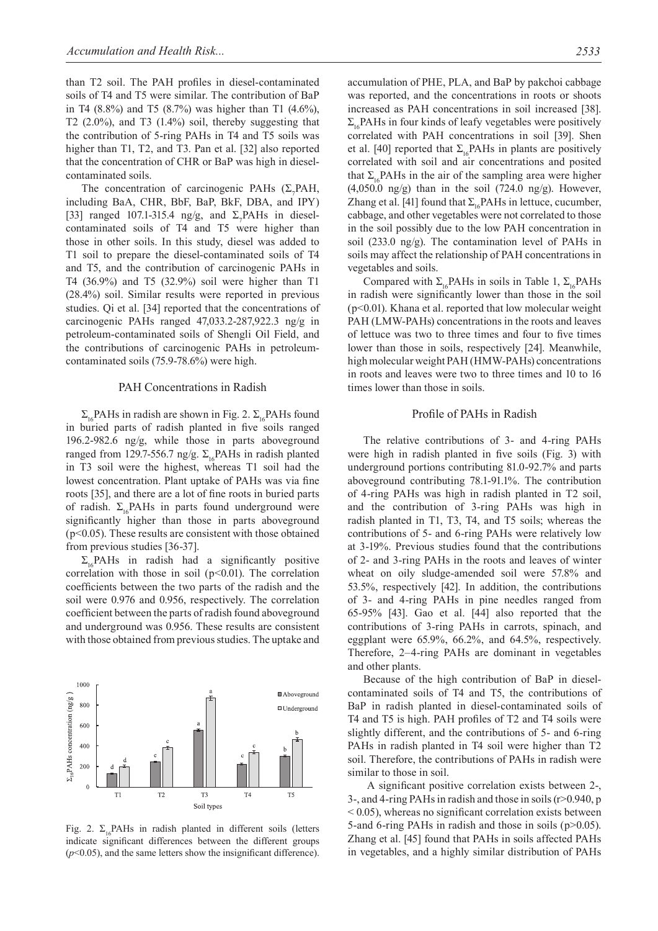than T2 soil. The PAH profiles in diesel-contaminated soils of T4 and T5 were similar. The contribution of BaP in T4 (8.8%) and T5 (8.7%) was higher than T1 (4.6%), T2 (2.0%), and T3 (1.4%) soil, thereby suggesting that the contribution of 5-ring PAHs in T4 and T5 soils was higher than T1, T2, and T3. Pan et al. [32] also reported that the concentration of CHR or BaP was high in dieselcontaminated soils.

The concentration of carcinogenic PAHs  $(\Sigma_{7}$ PAH, including BaA, CHR, BbF, BaP, BkF, DBA, and IPY) [33] ranged 107.1-315.4 ng/g, and  $\Sigma_7$ PAHs in dieselcontaminated soils of T4 and T5 were higher than those in other soils. In this study, diesel was added to T1 soil to prepare the diesel-contaminated soils of T4 and T5, and the contribution of carcinogenic PAHs in T4 (36.9%) and T5 (32.9%) soil were higher than T1 (28.4%) soil. Similar results were reported in previous studies. Qi et al. [34] reported that the concentrations of carcinogenic PAHs ranged 47,033.2-287,922.3 ng/g in petroleum-contaminated soils of Shengli Oil Field, and the contributions of carcinogenic PAHs in petroleumcontaminated soils (75.9-78.6%) were high.

#### PAH Concentrations in Radish

 $\Sigma_{16}$ PAHs in radish are shown in Fig. 2.  $\Sigma_{16}$ PAHs found in buried parts of radish planted in five soils ranged 196.2-982.6 ng/g, while those in parts aboveground ranged from 129.7-556.7 ng/g. Σ<sub>16</sub>PAHs in radish planted in T3 soil were the highest, whereas T1 soil had the lowest concentration. Plant uptake of PAHs was via fine roots [35], and there are a lot of fine roots in buried parts of radish.  $\Sigma_{16}$ PAHs in parts found underground were significantly higher than those in parts aboveground  $(p<0.05)$ . These results are consistent with those obtained from previous studies [36-37].

 $\Sigma_{16}$ PAHs in radish had a significantly positive correlation with those in soil  $(p<0.01)$ . The correlation coefficients between the two parts of the radish and the soil were 0.976 and 0.956, respectively. The correlation coefficient between the parts of radish found aboveground and underground was 0.956. These results are consistent with those obtained from previous studies. The uptake and



Fig. 2.  $\Sigma_{16}$ PAHs in radish planted in different soils (letters indicate significant differences between the different groups (*p*<0.05), and the same letters show the insignificant difference).

accumulation of PHE, PLA, and BaP by pakchoi cabbage was reported, and the concentrations in roots or shoots increased as PAH concentrations in soil increased [38].  $\Sigma_{16}$ PAHs in four kinds of leafy vegetables were positively correlated with PAH concentrations in soil [39]. Shen et al. [40] reported that  $\Sigma_{16}$ PAHs in plants are positively correlated with soil and air concentrations and posited that  $\Sigma_{16}$ PAHs in the air of the sampling area were higher  $(4.050.0 \text{ ng/g})$  than in the soil  $(724.0 \text{ ng/g})$ . However, Zhang et al. [41] found that  $\Sigma_{16}$ PAHs in lettuce, cucumber, cabbage, and other vegetables were not correlated to those in the soil possibly due to the low PAH concentration in soil (233.0 ng/g). The contamination level of PAHs in soils may affect the relationship of PAH concentrations in vegetables and soils.

Compared with  $\Sigma_{16}$ PAHs in soils in Table 1,  $\Sigma_{16}$ PAHs in radish were significantly lower than those in the soil (p<0.01). Khana et al. reported that low molecular weight PAH (LMW-PAHs) concentrations in the roots and leaves of lettuce was two to three times and four to five times lower than those in soils, respectively [24]. Meanwhile, high molecular weight PAH (HMW-PAHs) concentrations in roots and leaves were two to three times and 10 to 16 times lower than those in soils.

#### Profile of PAHs in Radish

The relative contributions of 3- and 4-ring PAHs were high in radish planted in five soils (Fig. 3) with underground portions contributing 81.0-92.7% and parts aboveground contributing 78.1-91.1%. The contribution of 4-ring PAHs was high in radish planted in T2 soil, and the contribution of 3-ring PAHs was high in radish planted in T1, T3, T4, and T5 soils; whereas the contributions of 5- and 6-ring PAHs were relatively low at 3-19%. Previous studies found that the contributions of 2- and 3-ring PAHs in the roots and leaves of winter wheat on oily sludge-amended soil were 57.8% and 53.5%, respectively [42]. In addition, the contributions of 3- and 4-ring PAHs in pine needles ranged from 65-95% [43]. Gao et al. [44] also reported that the contributions of 3-ring PAHs in carrots, spinach, and eggplant were 65.9%, 66.2%, and 64.5%, respectively. Therefore, 2–4-ring PAHs are dominant in vegetables and other plants.

Because of the high contribution of BaP in dieselcontaminated soils of T4 and T5, the contributions of BaP in radish planted in diesel-contaminated soils of T4 and T5 is high. PAH profiles of T2 and T4 soils were slightly different, and the contributions of 5- and 6-ring PAHs in radish planted in T4 soil were higher than T2 soil. Therefore, the contributions of PAHs in radish were similar to those in soil.

 A significant positive correlation exists between 2-, 3-, and 4-ring PAHs in radish and those in soils (r>0.940, p  $< 0.05$ ), whereas no significant correlation exists between 5-and 6-ring PAHs in radish and those in soils (p>0.05). Zhang et al. [45] found that PAHs in soils affected PAHs in vegetables, and a highly similar distribution of PAHs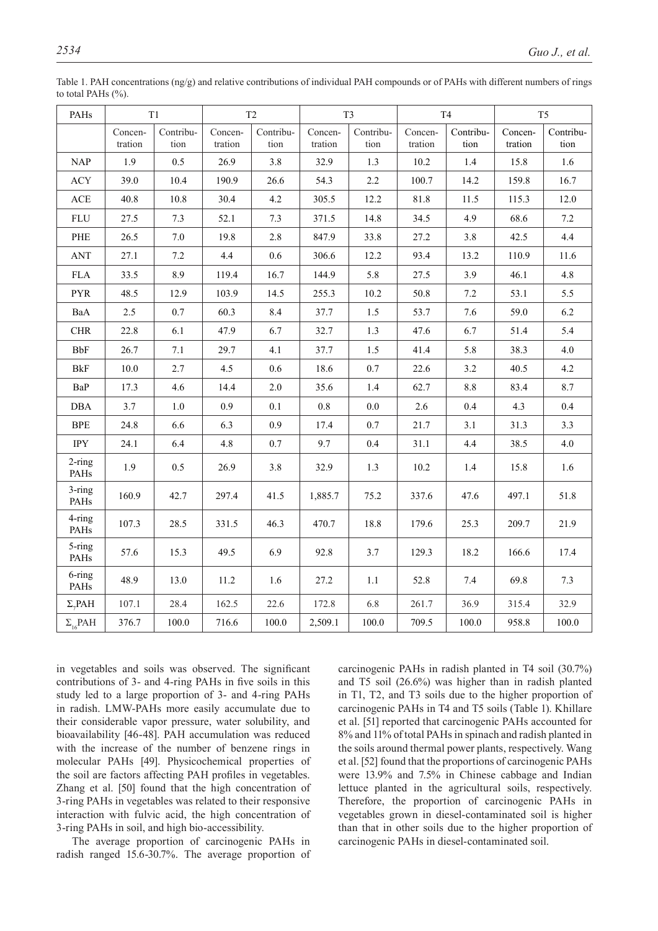| PAHs                        | T <sub>1</sub>     |                   | T <sub>2</sub>     |                   | T <sub>3</sub>     |                   | <b>T4</b>          |                   | T <sub>5</sub>     |                   |
|-----------------------------|--------------------|-------------------|--------------------|-------------------|--------------------|-------------------|--------------------|-------------------|--------------------|-------------------|
|                             | Concen-<br>tration | Contribu-<br>tion | Concen-<br>tration | Contribu-<br>tion | Concen-<br>tration | Contribu-<br>tion | Concen-<br>tration | Contribu-<br>tion | Concen-<br>tration | Contribu-<br>tion |
| <b>NAP</b>                  | 1.9                | 0.5               | 26.9               | $3.8\,$           | 32.9               | 1.3               | $10.2\,$           | $1.4\,$           | 15.8               | 1.6               |
| ACY                         | 39.0               | 10.4              | 190.9              | 26.6              | 54.3               | 2.2               | 100.7              | 14.2              | 159.8              | 16.7              |
| $\mathbf{ACE}$              | 40.8               | 10.8              | 30.4               | 4.2               | 305.5              | 12.2              | 81.8               | 11.5              | 115.3              | 12.0              |
| <b>FLU</b>                  | 27.5               | 7.3               | 52.1               | 7.3               | 371.5              | 14.8              | 34.5               | 4.9               | 68.6               | $7.2\,$           |
| $\ensuremath{\mathsf{PHE}}$ | 26.5               | $7.0\,$           | 19.8               | $2.8\,$           | 847.9              | 33.8              | 27.2               | $3.8\,$           | 42.5               | 4.4               |
| <b>ANT</b>                  | 27.1               | $7.2\,$           | 4.4                | 0.6               | 306.6              | 12.2              | 93.4               | 13.2              | 110.9              | 11.6              |
| ${\rm FLA}$                 | 33.5               | 8.9               | 119.4              | 16.7              | 144.9              | 5.8               | 27.5               | 3.9               | 46.1               | 4.8               |
| <b>PYR</b>                  | 48.5               | 12.9              | 103.9              | 14.5              | 255.3              | 10.2              | 50.8               | 7.2               | 53.1               | 5.5               |
| BaA                         | 2.5                | 0.7               | 60.3               | 8.4               | 37.7               | $1.5\,$           | 53.7               | 7.6               | 59.0               | 6.2               |
| ${\rm CHR}$                 | 22.8               | 6.1               | 47.9               | 6.7               | 32.7               | 1.3               | 47.6               | 6.7               | 51.4               | 5.4               |
| <b>BbF</b>                  | 26.7               | 7.1               | 29.7               | 4.1               | 37.7               | 1.5               | 41.4               | 5.8               | 38.3               | 4.0               |
| <b>BkF</b>                  | $10.0\,$           | 2.7               | 4.5                | 0.6               | 18.6               | $0.7\,$           | 22.6               | 3.2               | 40.5               | $4.2\,$           |
| BaP                         | 17.3               | 4.6               | 14.4               | $2.0\,$           | 35.6               | 1.4               | 62.7               | 8.8               | 83.4               | 8.7               |
| <b>DBA</b>                  | 3.7                | 1.0               | 0.9                | 0.1               | $0.8\,$            | $0.0\,$           | 2.6                | 0.4               | 4.3                | 0.4               |
| <b>BPE</b>                  | 24.8               | 6.6               | 6.3                | 0.9               | 17.4               | 0.7               | 21.7               | 3.1               | 31.3               | 3.3               |
| <b>IPY</b>                  | 24.1               | 6.4               | $4.8\,$            | 0.7               | 9.7                | 0.4               | 31.1               | 4.4               | 38.5               | 4.0               |
| 2-ring<br>PAHs              | 1.9                | 0.5               | 26.9               | $3.8\,$           | 32.9               | 1.3               | 10.2               | 1.4               | 15.8               | 1.6               |
| 3-ring<br>PAHs              | 160.9              | 42.7              | 297.4              | 41.5              | 1,885.7            | 75.2              | 337.6              | 47.6              | 497.1              | 51.8              |
| 4-ring<br>PAHs              | 107.3              | 28.5              | 331.5              | 46.3              | 470.7              | 18.8              | 179.6              | 25.3              | 209.7              | 21.9              |
| 5-ring<br>PAHs              | 57.6               | 15.3              | 49.5               | 6.9               | 92.8               | 3.7               | 129.3              | 18.2              | 166.6              | 17.4              |
| 6-ring<br>PAHs              | 48.9               | 13.0              | 11.2               | 1.6               | 27.2               | 1.1               | 52.8               | 7.4               | 69.8               | 7.3               |
| $\Sigma_{\gamma}$ PAH       | 107.1              | 28.4              | 162.5              | 22.6              | 172.8              | 6.8               | 261.7              | 36.9              | 315.4              | 32.9              |
| $\Sigma_{16}$ PAH           | 376.7              | $100.0\,$         | 716.6              | 100.0             | 2,509.1            | 100.0             | 709.5              | 100.0             | 958.8              | 100.0             |

Table 1. PAH concentrations (ng/g) and relative contributions of individual PAH compounds or of PAHs with different numbers of rings to total PAHs (%).

in vegetables and soils was observed. The significant contributions of 3- and 4-ring PAHs in five soils in this study led to a large proportion of 3- and 4-ring PAHs in radish. LMW-PAHs more easily accumulate due to their considerable vapor pressure, water solubility, and bioavailability [46-48]. PAH accumulation was reduced with the increase of the number of benzene rings in molecular PAHs [49]. Physicochemical properties of the soil are factors affecting PAH profiles in vegetables. Zhang et al. [50] found that the high concentration of 3-ring PAHs in vegetables was related to their responsive interaction with fulvic acid, the high concentration of 3-ring PAHs in soil, and high bio-accessibility.

The average proportion of carcinogenic PAHs in radish ranged 15.6-30.7%. The average proportion of carcinogenic PAHs in radish planted in T4 soil (30.7%) and T5 soil (26.6%) was higher than in radish planted in T1, T2, and T3 soils due to the higher proportion of carcinogenic PAHs in T4 and T5 soils (Table 1). Khillare et al. [51] reported that carcinogenic PAHs accounted for 8% and 11% of total PAHs in spinach and radish planted in the soils around thermal power plants, respectively. Wang et al. [52] found that the proportions of carcinogenic PAHs were 13.9% and 7.5% in Chinese cabbage and Indian lettuce planted in the agricultural soils, respectively. Therefore, the proportion of carcinogenic PAHs in vegetables grown in diesel-contaminated soil is higher than that in other soils due to the higher proportion of carcinogenic PAHs in diesel-contaminated soil.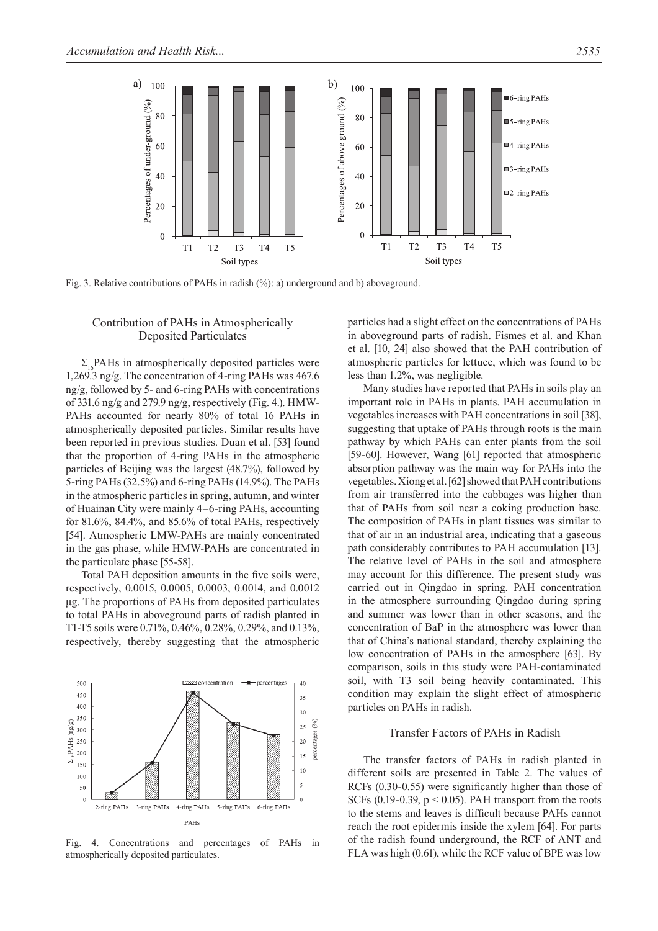

Fig. 3. Relative contributions of PAHs in radish (%): a) underground and b) aboveground.

# Contribution of PAHs in Atmospherically Deposited Particulates

 $\Sigma$ . PAHs in atmospherically deposited particles were 1,269.3 ng/g. The concentration of 4-ring PAHs was 467.6 ng/g, followed by 5- and 6-ring PAHs with concentrations of 331.6 ng/g and 279.9 ng/g, respectively (Fig. 4.). HMW-PAHs accounted for nearly 80% of total 16 PAHs in atmospherically deposited particles. Similar results have been reported in previous studies. Duan et al. [53] found that the proportion of 4-ring PAHs in the atmospheric particles of Beijing was the largest (48.7%), followed by 5-ring PAHs (32.5%) and 6-ring PAHs (14.9%). The PAHs in the atmospheric particles in spring, autumn, and winter of Huainan City were mainly 4–6-ring PAHs, accounting for 81.6%, 84.4%, and 85.6% of total PAHs, respectively [54]. Atmospheric LMW-PAHs are mainly concentrated in the gas phase, while HMW-PAHs are concentrated in the particulate phase [55-58].

Total PAH deposition amounts in the five soils were, respectively, 0.0015, 0.0005, 0.0003, 0.0014, and 0.0012 μg. The proportions of PAHs from deposited particulates to total PAHs in aboveground parts of radish planted in T1-T5 soils were 0.71%, 0.46%, 0.28%, 0.29%, and 0.13%, respectively, thereby suggesting that the atmospheric



Fig. 4. Concentrations and percentages of PAHs in atmospherically deposited particulates.

particles had a slight effect on the concentrations of PAHs in aboveground parts of radish. Fismes et al. and Khan et al. [10, 24] also showed that the PAH contribution of atmospheric particles for lettuce, which was found to be less than 1.2%, was negligible.

Many studies have reported that PAHs in soils play an important role in PAHs in plants. PAH accumulation in vegetables increases with PAH concentrations in soil [38], suggesting that uptake of PAHs through roots is the main pathway by which PAHs can enter plants from the soil [59-60]. However, Wang [61] reported that atmospheric absorption pathway was the main way for PAHs into the vegetables. Xiong et al. [62] showed that PAH contributions from air transferred into the cabbages was higher than that of PAHs from soil near a coking production base. The composition of PAHs in plant tissues was similar to that of air in an industrial area, indicating that a gaseous path considerably contributes to PAH accumulation [13]. The relative level of PAHs in the soil and atmosphere may account for this difference. The present study was carried out in Qingdao in spring. PAH concentration in the atmosphere surrounding Qingdao during spring and summer was lower than in other seasons, and the concentration of BaP in the atmosphere was lower than that of China's national standard, thereby explaining the low concentration of PAHs in the atmosphere [63]. By comparison, soils in this study were PAH-contaminated soil, with T3 soil being heavily contaminated. This condition may explain the slight effect of atmospheric particles on PAHs in radish.

#### Transfer Factors of PAHs in Radish

The transfer factors of PAHs in radish planted in different soils are presented in Table 2. The values of RCFs (0.30-0.55) were significantly higher than those of SCFs (0.19-0.39,  $p < 0.05$ ). PAH transport from the roots to the stems and leaves is difficult because PAHs cannot reach the root epidermis inside the xylem [64]. For parts of the radish found underground, the RCF of ANT and FLA was high (0.61), while the RCF value of BPE was low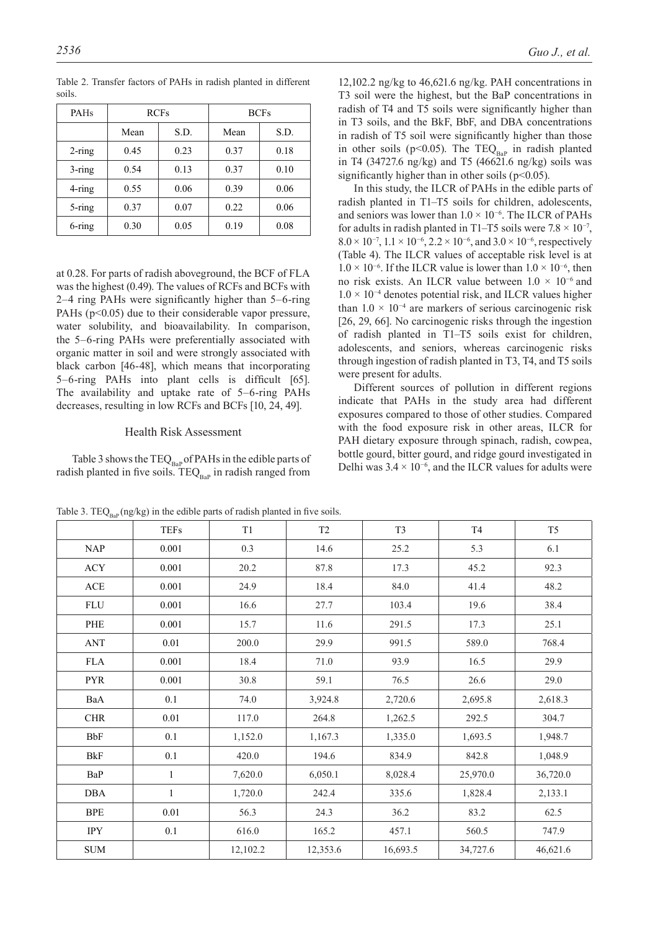| PAH <sub>s</sub> |      | <b>RCFs</b> | <b>BCFs</b> |      |  |
|------------------|------|-------------|-------------|------|--|
|                  | Mean | S.D.        | Mean        | S.D. |  |
| $2$ -ring        | 0.45 | 0.23        | 0.37        | 0.18 |  |
| $3 - ring$       | 0.54 | 0.13        | 0.37        | 0.10 |  |
| 4-ring           | 0.55 | 0.06        | 0.39        | 0.06 |  |
| $5 - ring$       | 0.37 | 0.07        | 0.22        | 0.06 |  |
| 6-ring           | 0.30 | 0.05        | 0.19        | 0.08 |  |

Table 2. Transfer factors of PAHs in radish planted in different soils.

at 0.28. For parts of radish aboveground, the BCF of FLA was the highest (0.49). The values of RCFs and BCFs with 2–4 ring PAHs were significantly higher than 5–6-ring PAHs  $(p<0.05)$  due to their considerable vapor pressure, water solubility, and bioavailability. In comparison, the 5–6-ring PAHs were preferentially associated with organic matter in soil and were strongly associated with black carbon [46-48], which means that incorporating 5–6-ring PAHs into plant cells is difficult [65]. The availability and uptake rate of 5–6-ring PAHs decreases, resulting in low RCFs and BCFs [10, 24, 49].

# Health Risk Assessment

Table 3 shows the  $TEQ_{BaP}$  of PAHs in the edible parts of radish planted in five soils.  $TEQ_{Bap}$  in radish ranged from

12,102.2 ng/kg to 46,621.6 ng/kg. PAH concentrations in T3 soil were the highest, but the BaP concentrations in radish of T4 and T5 soils were significantly higher than in T3 soils, and the BkF, BbF, and DBA concentrations in radish of T5 soil were significantly higher than those in other soils (p<0.05). The TEQ<sub>BaP</sub> in radish planted in T4 (34727.6 ng/kg) and T5 (46621.6 ng/kg) soils was significantly higher than in other soils ( $p<0.05$ ).

In this study, the ILCR of PAHs in the edible parts of radish planted in T1–T5 soils for children, adolescents, and seniors was lower than  $1.0 \times 10^{-6}$ . The ILCR of PAHs for adults in radish planted in T1–T5 soils were  $7.8 \times 10^{-7}$ ,  $8.0 \times 10^{-7}$ ,  $1.1 \times 10^{-6}$ ,  $2.2 \times 10^{-6}$ , and  $3.0 \times 10^{-6}$ , respectively (Table 4). The ILCR values of acceptable risk level is at  $1.0 \times 10^{-6}$ . If the ILCR value is lower than  $1.0 \times 10^{-6}$ , then no risk exists. An ILCR value between  $1.0 \times 10^{-6}$  and  $1.0 \times 10^{-4}$  denotes potential risk, and ILCR values higher than  $1.0 \times 10^{-4}$  are markers of serious carcinogenic risk [26, 29, 66]. No carcinogenic risks through the ingestion of radish planted in T1–T5 soils exist for children, adolescents, and seniors, whereas carcinogenic risks through ingestion of radish planted in T3, T4, and T5 soils were present for adults.

Different sources of pollution in different regions indicate that PAHs in the study area had different exposures compared to those of other studies. Compared with the food exposure risk in other areas, ILCR for PAH dietary exposure through spinach, radish, cowpea, bottle gourd, bitter gourd, and ridge gourd investigated in Delhi was  $3.4 \times 10^{-6}$ , and the ILCR values for adults were

|                             | <b>TEFs</b>  | T1       | T <sub>2</sub> | T <sub>3</sub> | <b>T4</b> | T <sub>5</sub> |
|-----------------------------|--------------|----------|----------------|----------------|-----------|----------------|
| <b>NAP</b>                  | 0.001        | 0.3      | 14.6           | 25.2           | 5.3       | 6.1            |
| ACY                         | 0.001        | 20.2     | 87.8           | 17.3           | 45.2      | 92.3           |
| $\mathbf{ACE}$              | 0.001        | 24.9     | 18.4           | 84.0           | 41.4      | 48.2           |
| FLU                         | 0.001        | 16.6     | 27.7           | 103.4          | 19.6      | 38.4           |
| PHE                         | 0.001        | 15.7     | 11.6           | 291.5          | 17.3      | 25.1           |
| <b>ANT</b>                  | 0.01         | 200.0    | 29.9           | 991.5          | 589.0     | 768.4          |
| FLA                         | 0.001        | 18.4     | 71.0           | 93.9           | 16.5      | 29.9           |
| <b>PYR</b>                  | 0.001        | 30.8     | 59.1           | 76.5           | 26.6      | 29.0           |
| BaA                         | 0.1          | 74.0     | 3,924.8        | 2,720.6        | 2,695.8   | 2,618.3        |
| <b>CHR</b>                  | $0.01\,$     | 117.0    | 264.8          | 1,262.5        | 292.5     | 304.7          |
| BbF                         | 0.1          | 1,152.0  | 1,167.3        | 1,335.0        | 1,693.5   | 1,948.7        |
| <b>BkF</b>                  | 0.1          | 420.0    | 194.6          | 834.9          | 842.8     | 1,048.9        |
| BaP                         | $\mathbf{1}$ | 7,620.0  | 6,050.1        | 8,028.4        | 25,970.0  | 36,720.0       |
| DBA                         | $\mathbf{1}$ | 1,720.0  | 242.4          | 335.6          | 1,828.4   | 2,133.1        |
| <b>BPE</b>                  | 0.01         | 56.3     | 24.3           | 36.2           | 83.2      | 62.5           |
| <b>IPY</b>                  | $0.1\,$      | 616.0    | 165.2          | 457.1          | 560.5     | 747.9          |
| $\ensuremath{\mathrm{SUM}}$ |              | 12,102.2 | 12,353.6       | 16,693.5       | 34,727.6  | 46,621.6       |

Table 3. TEQ<sub>BaP</sub> (ng/kg) in the edible parts of radish planted in five soils.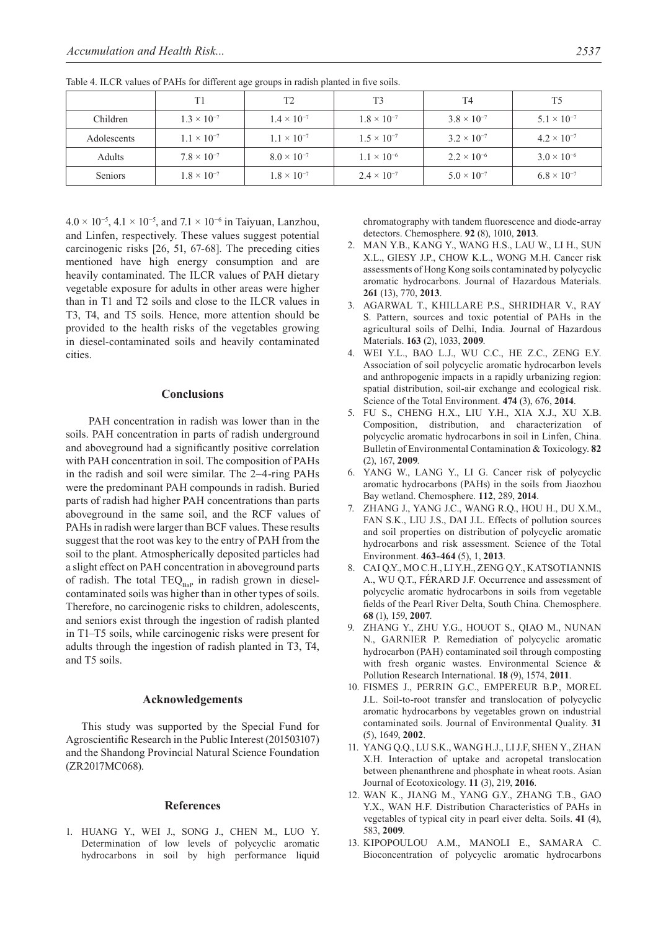|             | T1                   | T2                   | T <sub>3</sub>       | T <sub>4</sub>       | T <sub>5</sub>       |
|-------------|----------------------|----------------------|----------------------|----------------------|----------------------|
| Children    | $1.3 \times 10^{-7}$ | $1.4 \times 10^{-7}$ | $1.8 \times 10^{-7}$ | $3.8 \times 10^{-7}$ | $5.1 \times 10^{-7}$ |
| Adolescents | $1.1 \times 10^{-7}$ | $1.1 \times 10^{-7}$ | $1.5 \times 10^{-7}$ | $3.2 \times 10^{-7}$ | $4.2 \times 10^{-7}$ |
| Adults      | $7.8 \times 10^{-7}$ | $8.0 \times 10^{-7}$ | $1.1 \times 10^{-6}$ | $2.2 \times 10^{-6}$ | $3.0 \times 10^{-6}$ |
| Seniors     | $1.8 \times 10^{-7}$ | $1.8 \times 10^{-7}$ | $2.4 \times 10^{-7}$ | $5.0 \times 10^{-7}$ | $6.8 \times 10^{-7}$ |

Table 4. ILCR values of PAHs for different age groups in radish planted in five soils.

 $4.0 \times 10^{-5}$ ,  $4.1 \times 10^{-5}$ , and  $7.1 \times 10^{-6}$  in Taiyuan, Lanzhou, and Linfen, respectively. These values suggest potential carcinogenic risks [26, 51, 67-68]. The preceding cities mentioned have high energy consumption and are heavily contaminated. The ILCR values of PAH dietary vegetable exposure for adults in other areas were higher than in T1 and T2 soils and close to the ILCR values in T3, T4, and T5 soils. Hence, more attention should be provided to the health risks of the vegetables growing in diesel-contaminated soils and heavily contaminated cities.

### **Conclusions**

 PAH concentration in radish was lower than in the soils. PAH concentration in parts of radish underground and aboveground had a significantly positive correlation with PAH concentration in soil. The composition of PAHs in the radish and soil were similar. The 2–4-ring PAHs were the predominant PAH compounds in radish. Buried parts of radish had higher PAH concentrations than parts aboveground in the same soil, and the RCF values of PAHs in radish were larger than BCF values. These results suggest that the root was key to the entry of PAH from the soil to the plant. Atmospherically deposited particles had a slight effect on PAH concentration in aboveground parts of radish. The total  $TEQ_{Bap}$  in radish grown in dieselcontaminated soils was higher than in other types of soils. Therefore, no carcinogenic risks to children, adolescents, and seniors exist through the ingestion of radish planted in T1–T5 soils, while carcinogenic risks were present for adults through the ingestion of radish planted in T3, T4, and T5 soils.

#### **Acknowledgements**

This study was supported by the Special Fund for Agroscientific Research in the Public Interest (201503107) and the Shandong Provincial Natural Science Foundation (ZR2017MC068).

#### **References**

1. Huang Y., Wei J., Song J., CHEN M., LUO Y. Determination of low levels of polycyclic aromatic hydrocarbons in soil by high performance liquid

chromatography with tandem fluorescence and diode-array detectors. Chemosphere. **92** (8), 1010, **2013**.

- 2. Man Y.B., Kang Y., Wang H.S., Lau W., Li H., Sun X.L., Giesy J.P., Chow K.L., WONG M.H. Cancer risk assessments of Hong Kong soils contaminated by polycyclic aromatic hydrocarbons. Journal of Hazardous Materials. **261** (13), 770, **2013**.
- 3. Agarwal T., Khillare P.S., Shridhar V., RAY S. Pattern, sources and toxic potential of PAHs in the agricultural soils of Delhi, India. Journal of Hazardous Materials. **163** (2), 1033, **2009**.
- 4. Wei Y.L., Bao L.J., Wu C.C., HE Z.C., ZENG E.Y. Association of soil polycyclic aromatic hydrocarbon levels and anthropogenic impacts in a rapidly urbanizing region: spatial distribution, soil-air exchange and ecological risk. Science of the Total Environment. **474** (3), 676, **2014**.
- 5. Fu S., Cheng H.X., Liu Y.H., Xia X.J., Xu X.B. Composition, distribution, and characterization of polycyclic aromatic hydrocarbons in soil in Linfen, China. Bulletin of Environmental Contamination & Toxicology. **82** (2), 167, **2009**.
- 6. Yang W., Lang Y., Li G. Cancer risk of polycyclic aromatic hydrocarbons (PAHs) in the soils from Jiaozhou Bay wetland. Chemosphere. **112**, 289, **2014**.
- 7. Zhang J., Yang J.C., Wang R.Q., Hou H., Du X.M., FAN S.K., LIU J.S., DAI J.L. Effects of pollution sources and soil properties on distribution of polycyclic aromatic hydrocarbons and risk assessment. Science of the Total Environment. **463-464** (5), 1, **2013**.
- 8. Cai Q.Y., Mo C.H., Li Y.H., ZENG Q.Y., KATSOTIANNIS A., WU Q.T., FÉRARD J.F. Occurrence and assessment of polycyclic aromatic hydrocarbons in soils from vegetable fields of the Pearl River Delta, South China. Chemosphere. **68** (1), 159, **2007**.
- 9. Zhang Y., Zhu Y.G., Houot S., Qiao M., Nunan N., GARNIER P. Remediation of polycyclic aromatic hydrocarbon (PAH) contaminated soil through composting with fresh organic wastes. Environmental Science & Pollution Research International. **18** (9), 1574, **2011**.
- 10. Fismes J., Perrin G.C., Empereur B.P., MOREL J.L. Soil-to-root transfer and translocation of polycyclic aromatic hydrocarbons by vegetables grown on industrial contaminated soils. Journal of Environmental Quality. **31** (5), 1649, **2002**.
- 11. YANG Q.Q., LU S.K., WANG H.J., LI J.F, SHEN Y., ZHAN X.H. Interaction of uptake and acropetal translocation between phenanthrene and phosphate in wheat roots. Asian Journal of Ecotoxicology. **11** (3), 219, **2016**.
- 12. WAN K., JIANG M., YANG G.Y., ZHANG T.B., GAO Y.X., WAN H.F. Distribution Characteristics of PAHs in vegetables of typical city in pearl eiver delta. Soils. **41** (4), 583, **2009**.
- 13. Kipopoulou A.M., Manoli E., Samara C. Bioconcentration of polycyclic aromatic hydrocarbons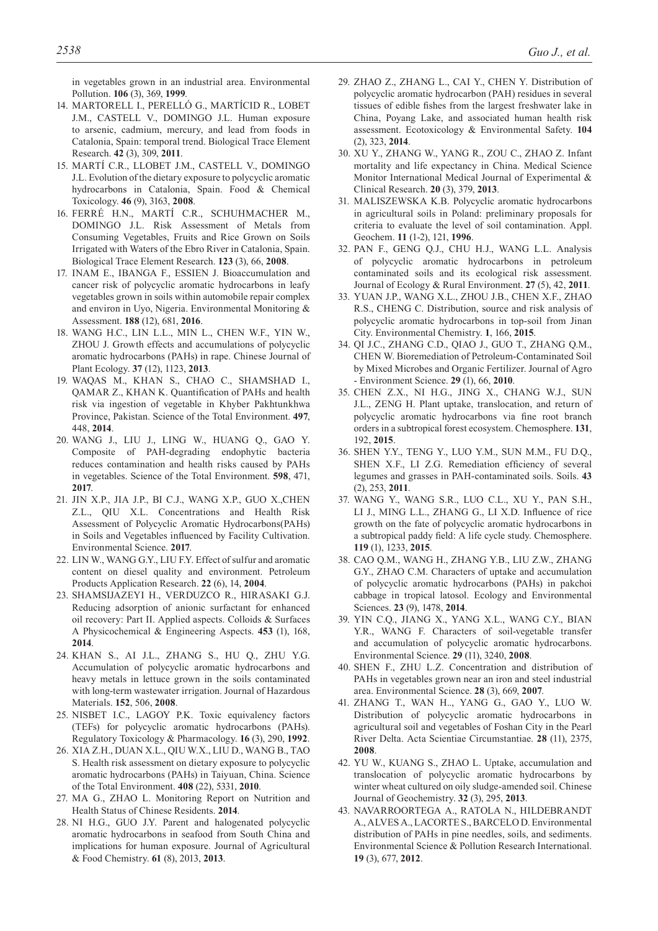in vegetables grown in an industrial area. Environmental Pollution. **106** (3), 369, **1999**.

- 14. Martorell I., Perelló G., Martícid R., LOBET J.M., CASTELL V., Domingo J.L. Human exposure to arsenic, cadmium, mercury, and lead from foods in Catalonia, Spain: temporal trend. Biological Trace Element Research. **42** (3), 309, **2011**.
- 15. Martí C.R., Llobet J.M., Castell V., DOMINGO J.L. Evolution of the dietary exposure to polycyclic aromatic hydrocarbons in Catalonia, Spain. Food & Chemical Toxicology. **46** (9), 3163, **2008**.
- 16. Ferré H.N., Martí C.R., Schuhmacher M., DOMINGO J.L. Risk Assessment of Metals from Consuming Vegetables, Fruits and Rice Grown on Soils Irrigated with Waters of the Ebro River in Catalonia, Spain. Biological Trace Element Research. **123** (3), 66, **2008**.
- 17. INAM E., IBANGA F., ESSIEN J. Bioaccumulation and cancer risk of polycyclic aromatic hydrocarbons in leafy vegetables grown in soils within automobile repair complex and environ in Uyo, Nigeria. Environmental Monitoring & Assessment. **188** (12), 681, **2016**.
- 18. Wang H.C., Lin L.L., Min L., CHEN W.F., YIN W., ZHOU J. Growth effects and accumulations of polycyclic aromatic hydrocarbons (PAHs) in rape. Chinese Journal of Plant Ecology. **37** (12), 1123, **2013**.
- 19. Waqas M., Khan S., Chao C., SHAMSHAD I., QAMAR Z., KHAN K. Quantification of PAHs and health risk via ingestion of vegetable in Khyber Pakhtunkhwa Province, Pakistan. Science of the Total Environment. **497**, 448, **2014**.
- 20. WANG J., LIU J., LING W., HUANG Q., GAO Y. Composite of PAH-degrading endophytic bacteria reduces contamination and health risks caused by PAHs in vegetables. Science of the Total Environment. **598**, 471, **2017**.
- 21. Jin X.P., Jia J.P., BI C.j., WANG X.P., GUO X.,CHEN Z.L., QIU X.L. Concentrations and Health Risk Assessment of Polycyclic Aromatic Hydrocarbons(PAHs) in Soils and Vegetables influenced by Facility Cultivation. Environmental Science. **2017**.
- 22. LIN W., WANG G.Y., LIU F.Y. Effect of sulfur and aromatic content on diesel quality and environment. Petroleum Products Application Research. **22** (6), 14, **2004**.
- 23. Shamsijazeyi H., Verduzco R., Hirasaki G.J. Reducing adsorption of anionic surfactant for enhanced oil recovery: Part II. Applied aspects. Colloids & Surfaces A Physicochemical & Engineering Aspects. **453** (1), 168, **2014**.
- 24. Khan S., Ai J.L., Zhang S., HU Q., ZHU Y.G. Accumulation of polycyclic aromatic hydrocarbons and heavy metals in lettuce grown in the soils contaminated with long-term wastewater irrigation. Journal of Hazardous Materials. **152**, 506, **2008**.
- 25. NISBET I.C., LAGOY P.K. Toxic equivalency factors (TEFs) for polycyclic aromatic hydrocarbons (PAHs). Regulatory Toxicology & Pharmacology. **16** (3), 290, **1992**.
- 26. Xia Z.H., Duan X.L., Qiu W.X., LIU D., WANG B., TAO S. Health risk assessment on dietary exposure to polycyclic aromatic hydrocarbons (PAHs) in Taiyuan, China. Science of the Total Environment. **408** (22), 5331, **2010**.
- 27. Ma G., Zhao L. Monitoring Report on Nutrition and Health Status of Chinese Residents. **2014**.
- 28. Ni h.G., Guo J.Y. Parent and halogenated polycyclic aromatic hydrocarbons in seafood from South China and implications for human exposure. Journal of Agricultural & Food Chemistry. **61** (8), 2013, **2013**.
- 29. Zhao Z., Zhang L., Cai Y., CHEN Y. Distribution of polycyclic aromatic hydrocarbon (PAH) residues in several tissues of edible fishes from the largest freshwater lake in China, Poyang Lake, and associated human health risk assessment. Ecotoxicology & Environmental Safety. **104** (2), 323, **2014**.
- 30. Xu Y., Zhang W., Yang R., ZOU C., ZHAO Z. Infant mortality and life expectancy in China. Medical Science Monitor International Medical Journal of Experimental & Clinical Research. **20** (3), 379, **2013**.
- 31. Maliszewska K.B. Polycyclic aromatic hydrocarbons in agricultural soils in Poland: preliminary proposals for criteria to evaluate the level of soil contamination. Appl. Geochem. **11** (1-2), 121, **1996**.
- 32. PAN F., Geng Q.J., Chu H.J., WANG L.L. Analysis of polycyclic aromatic hydrocarbons in petroleum contaminated soils and its ecological risk assessment. Journal of Ecology & Rural Environment. **27** (5), 42, **2011**.
- 33. YUAN J.P., WANG X.L., ZHOU J.B., CHEN X.F., ZHAO R.S., CHENG C. Distribution, source and risk analysis of polycyclic aromatic hydrocarbons in top-soil from Jinan City. Environmental Chemistry. **1**, 166, **2015**.
- 34. QI J.c., ZHANG C.D., QIAO J., GUO T., ZHANG Q.M., CHEN W. Bioremediation of Petroleum-Contaminated Soil by Mixed Microbes and Organic Fertilizer. Journal of Agro - Environment Science. **29** (1), 66, **2010**.
- 35. Chen Z.X., Ni H.G., Jing X., Chang W.J., Sun J.L., ZENG H. Plant uptake, translocation, and return of polycyclic aromatic hydrocarbons via fine root branch orders in a subtropical forest ecosystem. Chemosphere. **131**, 192, **2015**.
- 36. SHEN Y.Y., TENG Y., LUO Y.M., SUN M.M., FU D.Q., SHEN X.F., LI Z.G. Remediation efficiency of several legumes and grasses in PAH-contaminated soils. Soils. **43**  (2), 253, **2011**.
- 37. Wang Y., Wang S.R., Luo C.L., Xu Y., Pan S.H., Li J., Ming L.L., Zhang G., Li X.D. Influence of rice growth on the fate of polycyclic aromatic hydrocarbons in a subtropical paddy field: A life cycle study. Chemosphere. **119** (1), 1233, **2015**.
- 38. Cao Q.M., Wang H., Zhang Y.B., LIU Z.W., ZHANG G.Y., ZHAO C.M. Characters of uptake and accumulation of polycyclic aromatic hydrocarbons (PAHs) in pakchoi cabbage in tropical latosol. Ecology and Environmental Sciences. **23** (9), 1478, **2014**.
- 39. Yin C.Q., Jiang X., Yang X.L., WANG C.Y., BIAN Y.R., WANG F. Characters of soil-vegetable transfer and accumulation of polycyclic aromatic hydrocarbons. Environmental Science. **29** (11), 3240, **2008**.
- 40. SHEN F., ZHU L.Z. Concentration and distribution of PAHs in vegetables grown near an iron and steel industrial area. Environmental Science. **28** (3), 669, **2007**.
- 41. Zhang T., Wan H.., Yang G., GAO Y., luo w. Distribution of polycyclic aromatic hydrocarbons in agricultural soil and vegetables of Foshan City in the Pearl River Delta. Acta Scientiae Circumstantiae. **28** (11), 2375, **2008**.
- 42. YU W., KUANG S., ZHAO L. Uptake, accumulation and translocation of polycyclic aromatic hydrocarbons by winter wheat cultured on oily sludge-amended soil. Chinese Journal of Geochemistry. **32** (3), 295, **2013**.
- 43. Navarroortega A., Ratola N., Hildebrandt A., ALVES A., LACORTE S., BARCELO D. Environmental distribution of PAHs in pine needles, soils, and sediments. Environmental Science & Pollution Research International. **19** (3), 677, **2012**.